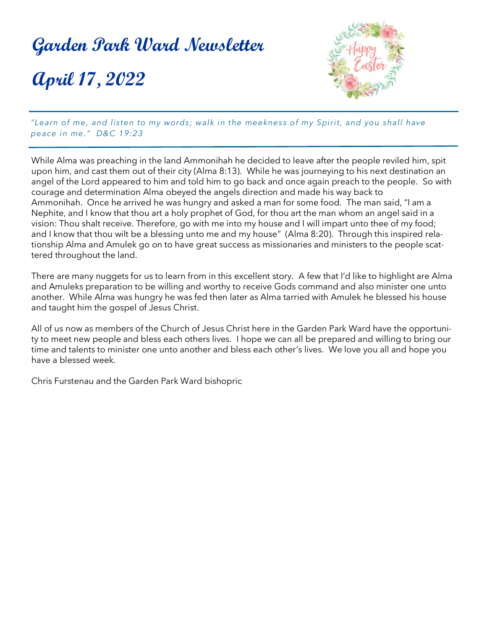# **Garden Park Ward Newsletter April 17, 2022**



*"Learn of me, and listen to my words; walk in the meekness of my Spirit, and you shall have peace in me." D&C 19:23*

While Alma was preaching in the land Ammonihah he decided to leave after the people reviled him, spit upon him, and cast them out of their city (Alma 8:13). While he was journeying to his next destination an angel of the Lord appeared to him and told him to go back and once again preach to the people. So with courage and determination Alma obeyed the angels direction and made his way back to Ammonihah. Once he arrived he was hungry and asked a man for some food. The man said, "I am a Nephite, and I know that thou art a holy prophet of God, for thou art the man whom an angel said in a vision: Thou shalt receive. Therefore, go with me into my house and I will impart unto thee of my food; and I know that thou wilt be a blessing unto me and my house" (Alma 8:20). Through this inspired relationship Alma and Amulek go on to have great success as missionaries and ministers to the people scattered throughout the land.

There are many nuggets for us to learn from in this excellent story. A few that I'd like to highlight are Alma and Amuleks preparation to be willing and worthy to receive Gods command and also minister one unto another. While Alma was hungry he was fed then later as Alma tarried with Amulek he blessed his house and taught him the gospel of Jesus Christ.

All of us now as members of the Church of Jesus Christ here in the Garden Park Ward have the opportunity to meet new people and bless each others lives. I hope we can all be prepared and willing to bring our time and talents to minister one unto another and bless each other's lives. We love you all and hope you have a blessed week.

Chris Furstenau and the Garden Park Ward bishopric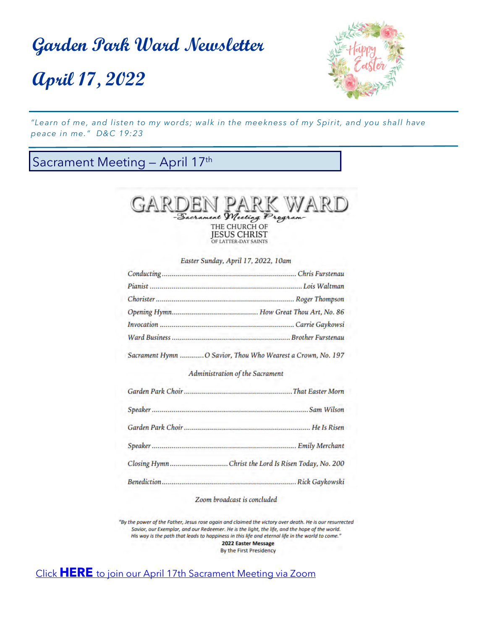**April 17, 2022**



*"Learn of me, and listen to my words; walk in the meekness of my Spirit, and you shall have peace in me." D&C 19:23*

### Sacrament Meeting - April 17<sup>th</sup>



Easter Sunday, April 17, 2022, 10am

| Sacrament Hymn  O Savior, Thou Who Wearest a Crown, No. 197 |
|-------------------------------------------------------------|

#### Administration of the Sacrament

| Sam Wilson                                          |
|-----------------------------------------------------|
|                                                     |
|                                                     |
| Closing HymnChrist the Lord Is Risen Today, No. 200 |
|                                                     |

#### Zoom broadcast is concluded

"By the power of the Father, Jesus rose again and claimed the victory over death. He is our resurrected Savior, our Exemplar, and our Redeemer. He is the light, the life, and the hope of the world. His way is the path that leads to happiness in this life and eternal life in the world to come." 2022 Easter Message

By the First Presidency

Click **HERE** [to join our April 17th Sacrament Meeting via Zoom](https://zoom.us/j/96489180794#success)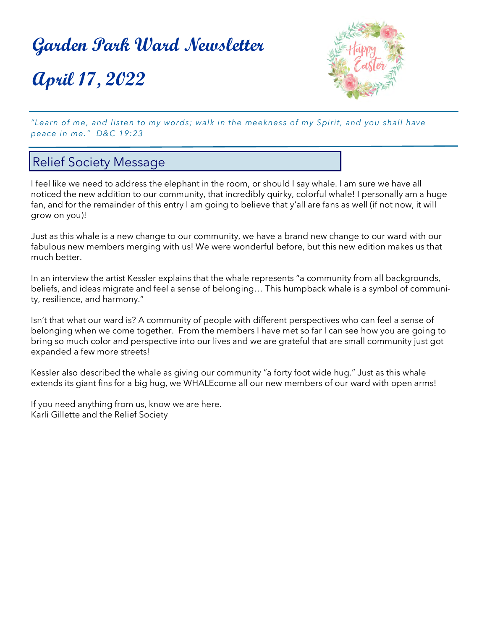**April 17, 2022**



*"Learn of me, and listen to my words; walk in the meekness of my Spirit, and you shall have peace in me." D&C 19:23*

### Relief Society Message

I feel like we need to address the elephant in the room, or should I say whale. I am sure we have all noticed the new addition to our community, that incredibly quirky, colorful whale! I personally am a huge fan, and for the remainder of this entry I am going to believe that y'all are fans as well (if not now, it will grow on you)!

Just as this whale is a new change to our community, we have a brand new change to our ward with our fabulous new members merging with us! We were wonderful before, but this new edition makes us that much better.

In an interview the artist Kessler explains that the whale represents "a community from all backgrounds, beliefs, and ideas migrate and feel a sense of belonging… This humpback whale is a symbol of community, resilience, and harmony."

Isn't that what our ward is? A community of people with different perspectives who can feel a sense of belonging when we come together. From the members I have met so far I can see how you are going to bring so much color and perspective into our lives and we are grateful that are small community just got expanded a few more streets!

Kessler also described the whale as giving our community "a forty foot wide hug." Just as this whale extends its giant fins for a big hug, we WHALEcome all our new members of our ward with open arms!

If you need anything from us, know we are here. Karli Gillette and the Relief Society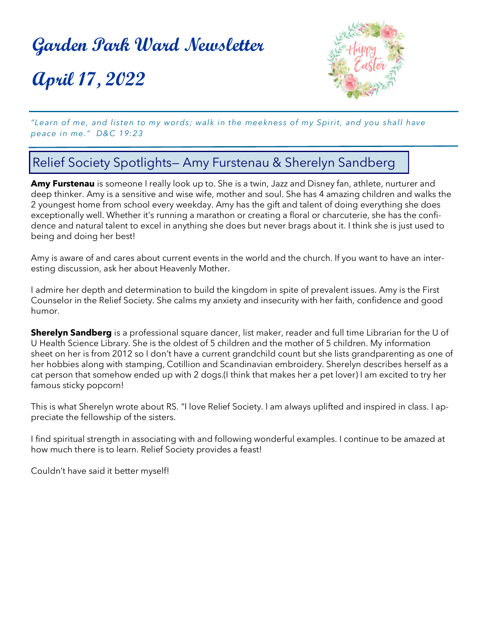**April 17, 2022**



*"Learn of me, and listen to my words; walk in the meekness of my Spirit, and you shall have peace in me." D&C 19:23*

### Relief Society Spotlights— Amy Furstenau & Sherelyn Sandberg

**Amy Furstenau** is someone I really look up to. She is a twin, Jazz and Disney fan, athlete, nurturer and deep thinker. Amy is a sensitive and wise wife, mother and soul. She has 4 amazing children and walks the 2 youngest home from school every weekday. Amy has the gift and talent of doing everything she does exceptionally well. Whether it's running a marathon or creating a floral or charcuterie, she has the confidence and natural talent to excel in anything she does but never brags about it. I think she is just used to being and doing her best!

Amy is aware of and cares about current events in the world and the church. If you want to have an interesting discussion, ask her about Heavenly Mother.

I admire her depth and determination to build the kingdom in spite of prevalent issues. Amy is the First Counselor in the Relief Society. She calms my anxiety and insecurity with her faith, confidence and good humor.

**Sherelyn Sandberg** is a professional square dancer, list maker, reader and full time Librarian for the U of U Health Science Library. She is the oldest of 5 children and the mother of 5 children. My information sheet on her is from 2012 so I don't have a current grandchild count but she lists grandparenting as one of her hobbies along with stamping, Cotillion and Scandinavian embroidery. Sherelyn describes herself as a cat person that somehow ended up with 2 dogs.(I think that makes her a pet lover) I am excited to try her famous sticky popcorn!

This is what Sherelyn wrote about RS. "I love Relief Society. I am always uplifted and inspired in class. I appreciate the fellowship of the sisters.

I find spiritual strength in associating with and following wonderful examples. I continue to be amazed at how much there is to learn. Relief Society provides a feast!

Couldn't have said it better myself!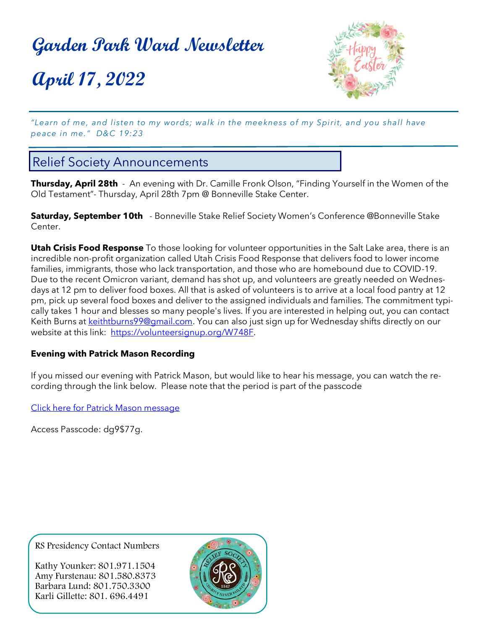**April 17, 2022**



*"Learn of me, and listen to my words; walk in the meekness of my Spirit, and you shall have peace in me." D&C 19:23*

### Relief Society Announcements

**Thursday, April 28th** - An evening with Dr. Camille Fronk Olson, "Finding Yourself in the Women of the Old Testament"- Thursday, April 28th 7pm @ Bonneville Stake Center.

**Saturday, September 10th** - Bonneville Stake Relief Society Women's Conference @Bonneville Stake Center.

**Utah Crisis Food Response** To those looking for volunteer opportunities in the Salt Lake area, there is an incredible non-profit organization called Utah Crisis Food Response that delivers food to lower income families, immigrants, those who lack transportation, and those who are homebound due to COVID-19. Due to the recent Omicron variant, demand has shot up, and volunteers are greatly needed on Wednesdays at 12 pm to deliver food boxes. All that is asked of volunteers is to arrive at a local food pantry at 12 pm, pick up several food boxes and deliver to the assigned individuals and families. The commitment typically takes 1 hour and blesses so many people's lives. If you are interested in helping out, you can contact Keith Burns at [keithtburns99@gmail.com.](mailto:keithtburns99@gmail.com) You can also just sign up for Wednesday shifts directly on our website at this link: [https://volunteersignup.org/W748F](https://na01.safelinks.protection.outlook.com/?url=https%3A%2F%2Fvolunteersignup.org%2FW748F&data=04%7C01%7C%7C19af7a507269473fbcac08d9e73f269d%7C84df9e7fe9f640afb435aaaaaaaaaaaa%7C1%7C0%7C637795080684271916%7CUnknown%7CTWFpbGZsb3d8eyJWIjoiMC4wLjAwMDAiLCJQIjo).

#### **Evening with Patrick Mason Recording**

If you missed our evening with Patrick Mason, but would like to hear his message, you can watch the recording through the link below. Please note that the period is part of the passcode

[Click here for Patrick Mason message](https://us02web.zoom.us/rec/share/BbAWH4_WcWuST1goWVfLtHBHi1H9k-tn6GBd9QjOv_FJsA0rPfxu6yddgmkSdXfI.RsTvRnSme0vLSNnO)

Access Passcode: dg9\$77g.

RS Presidency Contact Numbers

Kathy Younker: 801.971.1504 Amy Furstenau: 801.580.8373 Barbara Lund: 801.750.3300 Karli Gillette: 801. 696.4491

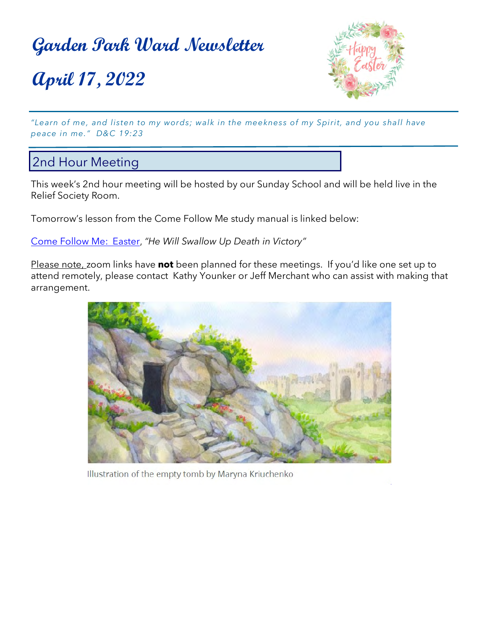**April 17, 2022**



*"Learn of me, and listen to my words; walk in the meekness of my Spirit, and you shall have peace in me." D&C 19:23*

### 2nd Hour Meeting

This week's 2nd hour meeting will be hosted by our Sunday School and will be held live in the Relief Society Room.

Tomorrow's lesson from the Come Follow Me study manual is linked below:

[Come Follow Me: Easter,](https://www.churchofjesuschrist.org/study/manual/come-follow-me-for-individuals-and-families-old-testament-2022/16?lang=eng) *"He Will Swallow Up Death in Victory"*

Please note, zoom links have **not** been planned for these meetings. If you'd like one set up to attend remotely, please contact Kathy Younker or Jeff Merchant who can assist with making that arrangement.



Illustration of the empty tomb by Maryna Kriuchenko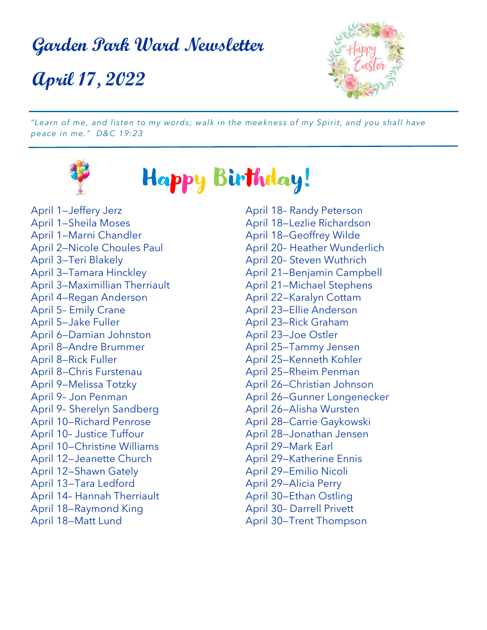**April 17, 2022**



*"Learn of me, and listen to my words; walk in the meekness of my Spirit, and you shall have peace in me." D&C 19:23*



Happy Birthday!

April 1—Jeffery Jerz April 1—Sheila Moses April 1—Marni Chandler April 2—Nicole Choules Paul April 3—Teri Blakely April 3—Tamara Hinckley April 3—Maximillian Therriault April 4—Regan Anderson April 5– Emily Crane April 5—Jake Fuller April 6—Damian Johnston April 8—Andre Brummer April 8—Rick Fuller April 8—Chris Furstenau April 9—Melissa Totzky April 9– Jon Penman April 9– Sherelyn Sandberg April 10—Richard Penrose April 10– Justice Tuffour April 10—Christine Williams April 12—Jeanette Church April 12—Shawn Gately April 13—Tara Ledford April 14– Hannah Therriault April 18—Raymond King April 18—Matt Lund

April 18– Randy Peterson April 18—Lezlie Richardson April 18—Geoffrey Wilde April 20– Heather Wunderlich April 20– Steven Wuthrich April 21—Benjamin Campbell April 21—Michael Stephens April 22—Karalyn Cottam April 23—Ellie Anderson April 23—Rick Graham April 23—Joe Ostler April 25—Tammy Jensen April 25—Kenneth Kohler April 25—Rheim Penman April 26—Christian Johnson April 26—Gunner Longenecker April 26—Alisha Wursten April 28—Carrie Gaykowski April 28—Jonathan Jensen April 29—Mark Earl April 29—Katherine Ennis April 29—Emilio Nicoli April 29—Alicia Perry April 30—Ethan Ostling April 30– Darrell Privett April 30—Trent Thompson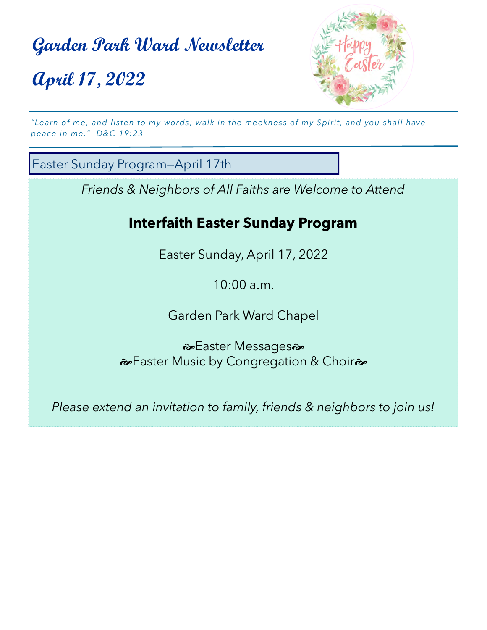# **Garden Park Ward Newsletter April 17, 2022**



*"Learn of me, and listen to my words; walk in the meekness of my Spirit, and you shall have peace in me." D&C 19:23*

Easter Sunday Program—April 17th

*Friends & Neighbors of All Faiths are Welcome to Attend*

### **Interfaith Easter Sunday Program**

Easter Sunday, April 17, 2022

10:00 a.m.

Garden Park Ward Chapel

 $\approx$ **Easter Messages** Laster Music by Congregation & Choir<sup>2</sup>

*Please extend an invitation to family, friends & neighbors to join us!*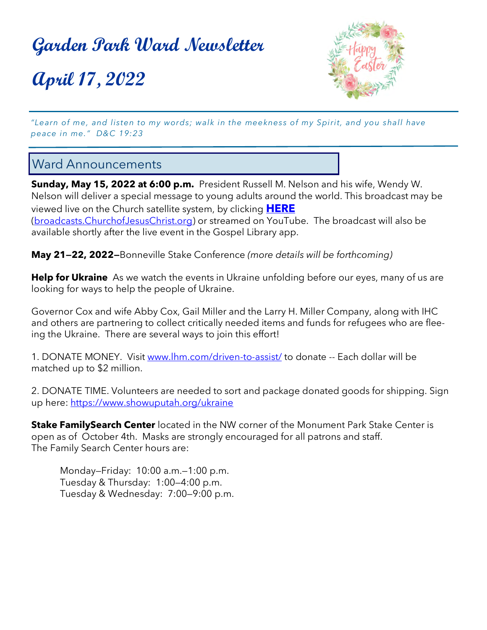**April 17, 2022**



*"Learn of me, and listen to my words; walk in the meekness of my Spirit, and you shall have peace in me." D&C 19:23*

### Ward Announcements

**Sunday, May 15, 2022 at 6:00 p.m.** President Russell M. Nelson and his wife, Wendy W. Nelson will deliver a special message to young adults around the world. This broadcast may be viewed live on the Church satellite system, by clicking **[HERE](https://www.churchofjesuschrist.org/broadcasts?lang=eng&cid=rdb_v_broadcasts_eng&video=14489152232603217988&mode=watch)** ([broadcasts.ChurchofJesusChrist.org\)](https://www.churchofjesuschrist.org/broadcasts?lang=eng&cid=rdb_v_broadcasts_eng&video=14489152232603217988&mode=watch) or streamed on YouTube. The broadcast will also be available shortly after the live event in the Gospel Library app.

**May 21—22, 2022—**Bonneville Stake Conference *(more details will be forthcoming)*

**Help for Ukraine** As we watch the events in Ukraine unfolding before our eyes, many of us are looking for ways to help the people of Ukraine.

Governor Cox and wife Abby Cox, Gail Miller and the Larry H. Miller Company, along with IHC and others are partnering to collect critically needed items and funds for refugees who are fleeing the Ukraine. There are several ways to join this effort!

1. DONATE MONEY. Visit [www.lhm.com/driven](https://www.lhm.com/driven-to-assist/)-to-assist/ to donate -- Each dollar will be matched up to \$2 million.

2. DONATE TIME. Volunteers are needed to sort and package donated goods for shipping. Sign up here: <https://www.showuputah.org/ukraine>

**Stake FamilySearch Center** located in the NW corner of the Monument Park Stake Center is open as of October 4th. Masks are strongly encouraged for all patrons and staff. The Family Search Center hours are:

Monday—Friday: 10:00 a.m.—1:00 p.m. Tuesday & Thursday: 1:00—4:00 p.m. Tuesday & Wednesday: 7:00—9:00 p.m.